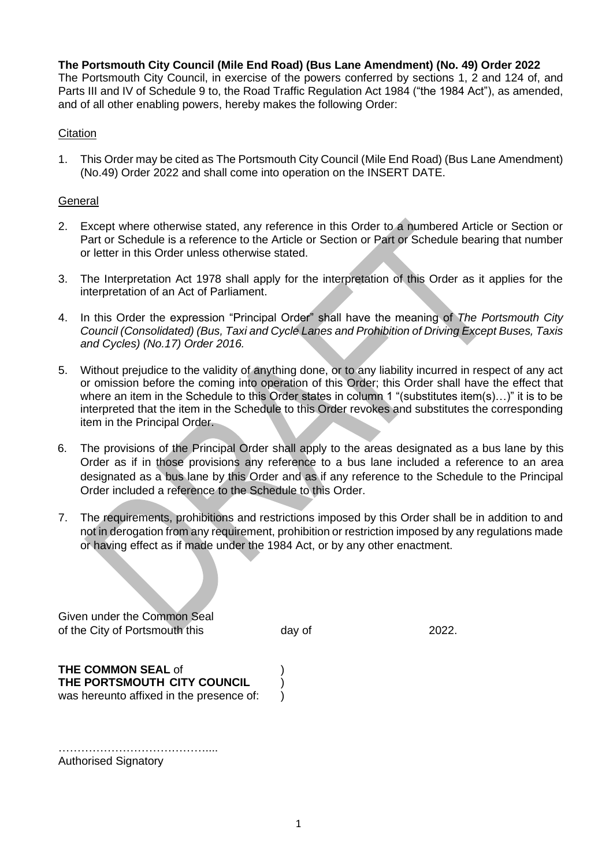### **The Portsmouth City Council (Mile End Road) (Bus Lane Amendment) (No. 49) Order 2022**

The Portsmouth City Council, in exercise of the powers conferred by sections 1, 2 and 124 of, and Parts III and IV of Schedule 9 to, the Road Traffic Regulation Act 1984 ("the 1984 Act"), as amended, and of all other enabling powers, hereby makes the following Order:

### **Citation**

1. This Order may be cited as The Portsmouth City Council (Mile End Road) (Bus Lane Amendment) (No.49) Order 2022 and shall come into operation on the INSERT DATE.

### **General**

- 2. Except where otherwise stated, any reference in this Order to a numbered Article or Section or Part or Schedule is a reference to the Article or Section or Part or Schedule bearing that number or letter in this Order unless otherwise stated.
- 3. The Interpretation Act 1978 shall apply for the interpretation of this Order as it applies for the interpretation of an Act of Parliament.
- 4. In this Order the expression "Principal Order" shall have the meaning of *The Portsmouth City Council (Consolidated) (Bus, Taxi and Cycle Lanes and Prohibition of Driving Except Buses, Taxis and Cycles) (No.17) Order 2016.*
- 5. Without prejudice to the validity of anything done, or to any liability incurred in respect of any act or omission before the coming into operation of this Order; this Order shall have the effect that where an item in the Schedule to this Order states in column 1 "(substitutes item(s)...)" it is to be interpreted that the item in the Schedule to this Order revokes and substitutes the corresponding item in the Principal Order.
- 6. The provisions of the Principal Order shall apply to the areas designated as a bus lane by this Order as if in those provisions any reference to a bus lane included a reference to an area designated as a bus lane by this Order and as if any reference to the Schedule to the Principal Order included a reference to the Schedule to this Order.
- 7. The requirements, prohibitions and restrictions imposed by this Order shall be in addition to and not in derogation from any requirement, prohibition or restriction imposed by any regulations made or having effect as if made under the 1984 Act, or by any other enactment.

Given under the Common Seal of the City of Portsmouth this day of 2022.

**THE COMMON SEAL** of ) **THE PORTSMOUTH CITY COUNCIL** ) was hereunto affixed in the presence of:  $\bigcirc$ 

………………………………….... Authorised Signatory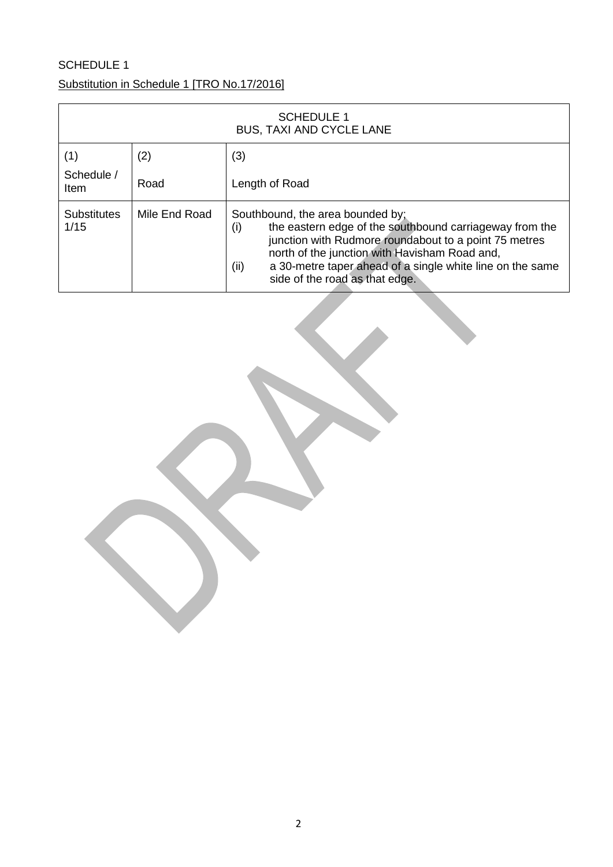# SCHEDULE 1

## Substitution in Schedule 1 [TRO No.17/2016]

| <b>SCHEDULE 1</b><br><b>BUS, TAXI AND CYCLE LANE</b> |               |                                                                                                                                                                                                                                                                                                                     |
|------------------------------------------------------|---------------|---------------------------------------------------------------------------------------------------------------------------------------------------------------------------------------------------------------------------------------------------------------------------------------------------------------------|
| (1)                                                  | (2)           | (3)                                                                                                                                                                                                                                                                                                                 |
| Schedule /<br>Item                                   | Road          | Length of Road                                                                                                                                                                                                                                                                                                      |
| <b>Substitutes</b><br>1/15                           | Mile End Road | Southbound, the area bounded by;<br>the eastern edge of the southbound carriageway from the<br>(i)<br>junction with Rudmore roundabout to a point 75 metres<br>north of the junction with Havisham Road and,<br>a 30-metre taper ahead of a single white line on the same<br>(ii)<br>side of the road as that edge. |